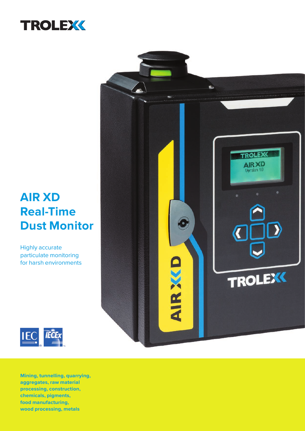

### **AIR XD Real-Time Dust Monitor**

Highly accurate particulate monitoring for harsh environments



**Mining, tunnelling, quarrying, aggregates, raw material processing, construction, chemicals, pigments, food manufacturing, wood processing, metals**

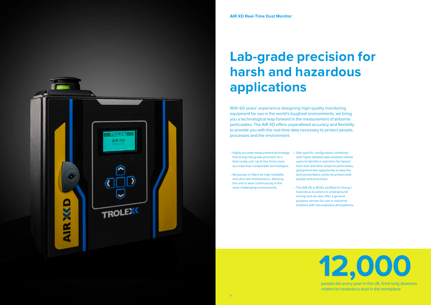

related to hazardous dust in the workplace

# **Lab-grade precision for harsh and hazardous applications**



With 60 years' experience designing high-quality monitoring equipment for use in the world's toughest environments, we bring you a technological leap forward in the measurement of airborne particulates. The AIR XD offers unparalleled accuracy and flexibility to provide you with the real-time data necessary to protect people, processes and the environment.

- Highly accurate measurement technology Site-specific configuration combined that brings lab-grade precision to a field-ready unit. Up to five times more accurate than comparable technologies.
- No pumps or filters for high reliability and ultra low maintenance, allowing the unit to work continuously in the most challenging environments.
- with highly detailed data analytics allows users to identify in real-time the hazard from dust and other airborne particulates, giving them the opportunity to take the best preventative action to protect both people and processes.
- The AIR XD is IECEx certified for Group I hazardous locations in underground mining and we also offer a general purpose version for use in industrial locations with non-explosive atmospheres.

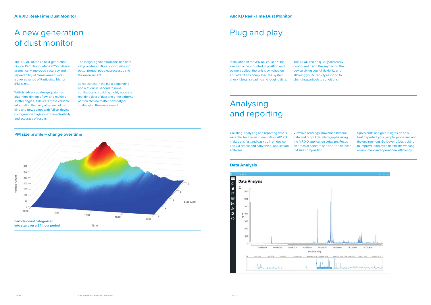

### A new generation of dust monitor

The AIR XD utilises a next-generation Optical Particle Counter (OPC) to deliver dramatically improved accuracy and repeatability of measurement over a diverse range of Particulate Matter (PM) sizes.

Its robustness in the most demanding applications is second to none, continuously providing highly accurate real-time data of dust and other airborne particulates no matter how dirty or challenging the environment.

With its advanced design, patented algorithm, dynamic flow, and multiple scatter angles, it delivers more valuable information than any other unit of its kind and now comes with full on-device configuration to give maximum flexibility and accuracy of results.

The insights gained from this rich data set provides multiple opportunities to better protect people, processes and the environment.

Collating, analysing and reporting data is essential for any instrumentation. AIR XD makes this fast and easy both on device and via simple and convenient application software. **PM size profile – change over time** View time and the change of the View live readings, download historic

### Plug and play

Installation of the AIR XD could not be simpler; once mounted in position and power applied, the unit is switched on and after it has completed the system check it begins reading and logging data.

The Air XD can be quickly and easily configured using the keypad on the device giving you full flexibility and allowing you to rapidly respond to changing particulate conditions.

### Analysing and reporting

Spot trends and gain insights on how best to protect your people, processes and the environment. Go beyond box-ticking to improve employee health, the working environment and operational efficiency.

data and output detailed graphs using the AIR XD application software. Focus on areas of concern and see the detailed PM size composition.

#### **Data Analysis**

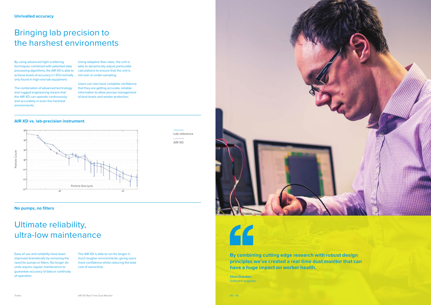#### **No pumps, no filters**

### Bringing lab precision to the harshest environments

### Ultimate reliability, ultra-low maintenance

By using advanced light scattering techniques combined with patented data processing algorithms, the AIR XD is able to achieve levels of accuracy (+/-5%) normally only found in high-end lab equipment.

The combination of advanced technology and rugged engineering means that the AIR XD can operate continuously and accurately in even the harshest environments.

Ease of use and reliability have been improved dramatically by removing the need for pumps or filters. No longer do units require regular maintenance to guarantee accuracy of data or continuity of operation.



The AIR XD is able to run for longer in much tougher environments, giving users more confidence whilst reducing the total cost of ownership.

Using adaptive flow rates, the unit is able to dynamically adjust particulate calculations to ensure that the unit is not over or under-sampling.

Users can now have complete confidence that they are getting accurate, reliable information to allow precise management of dust levels and worker protection.

#### **AIR XD vs. lab-precision instrument**

**By combining cutting edge research with robust design principles we've created a real-time dust monitor that can have a huge impact on worker health.**

**Chris Duerden** Software engineer

**Lab reference** 2222222 **AIR XD**



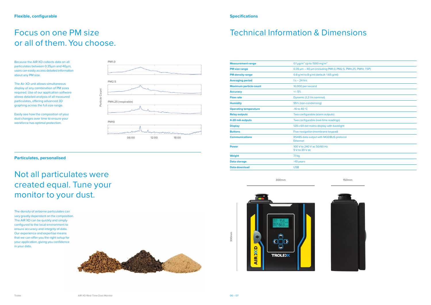| <b>Measurement range</b>      | 0.1 $\mu$ g/m <sup>3</sup> Up to 1500 mg/m <sup>3</sup>     |
|-------------------------------|-------------------------------------------------------------|
| <b>PM size range</b>          | 0.35 μm – 40 μm (including PM1.0, PM2.5, PM4.25, PM10, TSP) |
| <b>PM density range</b>       | 0.8 g/ml to 8 g/ml (default: 1.65 g/ml)                     |
| <b>Averaging period</b>       | $1s - 24$ hrs                                               |
| <b>Maximum particle count</b> | 10,000 per second                                           |
| <b>Accuracy</b>               | $+/-5%$                                                     |
| <b>Flow rate</b>              | Dynamic (1.2 I/m nominal)                                   |
| <b>Humidity</b>               | 95% (non-condensing)                                        |
| <b>Operating temperature</b>  | -10 to 40 $^{\circ}$ C                                      |
| <b>Relay outputs</b>          | Two configurable (alarm outputs)                            |
| 4-20 mA outputs               | Two configurable (real-time readings)                       |
| <b>Display</b>                | 128 x 64 dot matrix display with backlight                  |
| <b>Buttons</b>                | Five navigation (membrane keypad)                           |
| <b>Communications</b>         | RS485 data output with MODBUS protocol<br><b>Ethernet</b>   |
| <b>Power</b>                  | 100 V to 240 V ac 50/60 Hz<br>9 V to 30 V dc                |
| Weight                        | 7.1 <sub>kg</sub>                                           |
| Data storage                  | >10 years                                                   |
| <b>Data download</b>          | <b>USB</b>                                                  |

### Technical Information & Dimensions

**Particulates, personalised**

### Focus on one PM size or all of them. You choose.

Not all particulates were created equal. Tune your monitor to your dust.

Because the AIR XD collects data on all particulates between 0.35μm and 40μm, users can easily access detailed information about any PM size.

The Air XD unit allows simultaneous display of any combination of PM sizes required. Use of our application software allows detailed analysis of all measured particulates, offering advanced 3D graphing across the full size range.

Easily see how the composition of your dust changes over time to ensure your workforce has optimal protection.

The density of airborne particulates can vary greatly dependent on the composition. The AIR XD can be quickly and simply configured to the local environment to ensure accuracy and integrity of data. Our experience and expertise means that we can offer you the right setup for your application, giving you confidence in your data.





**300mm**



**300mm**

**150mm**

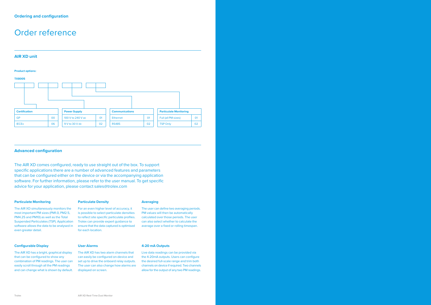### Order reference



#### **Advanced configuration**

The AIR XD comes configured, ready to use straight out of the box. To support specific applications there are a number of advanced features and parameters that can be configured either on the device or via the accompanying application software. For further information, please refer to the user manual. To get specific advice for your application, please contact sales@trolex.com

#### **Particulate Monitoring**

The AIR XD simultaneously monitors the most important PM sizes (PM1.0, PM2.5, PM4.25 and PM10) as well as the Total Suspended Particulates (TSP). Application software allows the data to be analysed in even greater detail.

### **Particulate Density**

#### For an even higher level of accuracy, it is possible to select particulate densities to reflect site specific particulate profiles. Trolex can provide expert guidance to ensure that the data captured is optimised for each location.

## **Averaging**

The user can define two averaging periods. PM values will then be automatically calculated over those periods. The user can also select whether to calculate the average over a fixed or rolling timespan.

#### **Configurable Display**

The AIR XD has a bright, graphical display that can be configured to show any combination of PM readings. The user can easily scroll through all the PM readings and can change what is shown by default.

#### **User Alarms**

The AIR XD has two alarm channels that can easily be configured on-device and set up to drive the onboard relay outputs. The user can also change how alarms are displayed on screen.

#### **4-20 mA Outputs**

Live data readings can be provided via the 4-20mA outputs. Users can configure the desired full-scale range and trim both channels on device if required. Two channels allow for the output of any two PM readings.